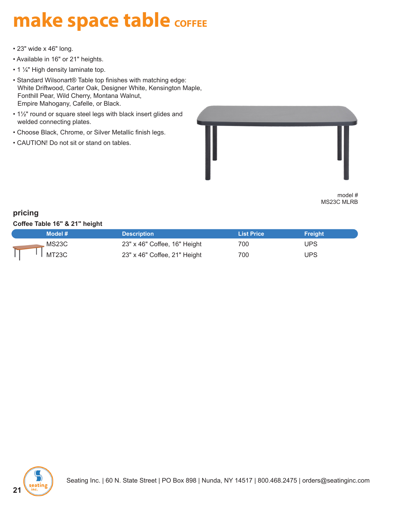## **make space table COFFEE**

- 23" wide x 46" long.
- Available in 16" or 21" heights.
- 1 1/4" High density laminate top.
- Standard Wilsonart® Table top finishes with matching edge: White Driftwood, Carter Oak, Designer White, Kensington Maple, Fonthill Pear, Wild Cherry, Montana Walnut, Empire Mahogany, Cafelle, or Black.
- 1½" round or square steel legs with black insert glides and welded connecting plates.
- Choose Black, Chrome, or Silver Metallic finish legs.
- CAUTION! Do not sit or stand on tables.



model # MS23C MLRB

## **pricing**

**Coffee Table 16" & 21" height**

| Model # | <b>Description</b>           | <b>List Price</b> | <b>Freight</b> |
|---------|------------------------------|-------------------|----------------|
| MS23C   | 23" x 46" Coffee, 16" Height | 700               | JPS.           |
| MT23C   | 23" x 46" Coffee, 21" Height | 700               | UPS            |